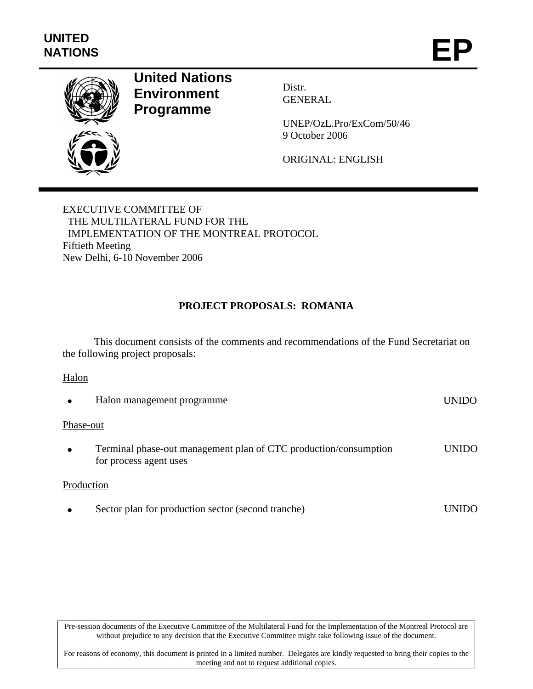

# **United Nations Environment Programme**

Distr. GENERAL

UNEP/OzL.Pro/ExCom/50/46 9 October 2006

ORIGINAL: ENGLISH

EXECUTIVE COMMITTEE OF THE MULTILATERAL FUND FOR THE IMPLEMENTATION OF THE MONTREAL PROTOCOL Fiftieth Meeting New Delhi, 6-10 November 2006

## **PROJECT PROPOSALS: ROMANIA**

This document consists of the comments and recommendations of the Fund Secretariat on the following project proposals:

#### Halon

|           | Halon management programme                                                                 | UNIDO |
|-----------|--------------------------------------------------------------------------------------------|-------|
| Phase-out |                                                                                            |       |
|           | Terminal phase-out management plan of CTC production/consumption<br>for process agent uses | UNIDO |
|           | Production                                                                                 |       |
|           | Sector plan for production sector (second tranche)                                         | LINI  |

Pre-session documents of the Executive Committee of the Multilateral Fund for the Implementation of the Montreal Protocol are without prejudice to any decision that the Executive Committee might take following issue of the document.

For reasons of economy, this document is printed in a limited number. Delegates are kindly requested to bring their copies to the meeting and not to request additional copies.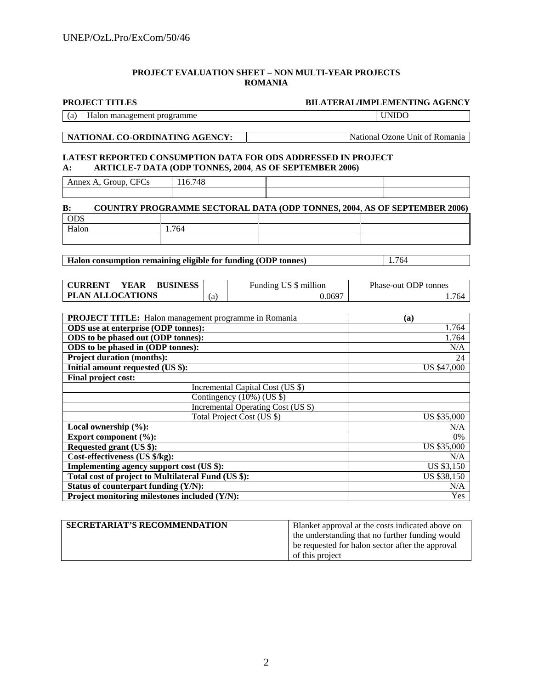#### **PROJECT EVALUATION SHEET – NON MULTI-YEAR PROJECTS ROMANIA**

#### **PROJECT TITLES BILATERAL/IMPLEMENTING AGENCY**

(a) Halon management programme UNIDO

**NATIONAL CO-ORDINATING AGENCY:** National Ozone Unit of Romania

#### **LATEST REPORTED CONSUMPTION DATA FOR ODS ADDRESSED IN PROJECT A: ARTICLE-7 DATA (ODP TONNES, 2004**, **AS OF SEPTEMBER 2006)**

Annex A, Group, CFCs 116.748

| $\bf{B}$ : |     | <b>COUNTRY PROGRAMME SECTORAL DATA (ODP TONNES, 2004, AS OF SEPTEMBER 2006)</b> |
|------------|-----|---------------------------------------------------------------------------------|
| <b>ODS</b> |     |                                                                                 |
| Halon      | 764 |                                                                                 |
|            |     |                                                                                 |

**Halon consumption remaining eligible for funding (ODP tonnes)** 1.764

**CURRENT YEAR BUSINESS** Funding US \$ million Phase-out ODP tonnes **PLAN ALLOCATIONS** (a) 0.0697 1.764

| PROJECT TITLE: Halon management programme in Romania | (a)                |
|------------------------------------------------------|--------------------|
| ODS use at enterprise (ODP tonnes):                  | 1.764              |
| ODS to be phased out (ODP tonnes):                   | 1.764              |
| ODS to be phased in (ODP tonnes):                    | N/A                |
| <b>Project duration (months):</b>                    | 24                 |
| Initial amount requested (US \$):                    | <b>US \$47,000</b> |
| Final project cost:                                  |                    |
| Incremental Capital Cost (US \$)                     |                    |
| Contingency (10%) (US \$)                            |                    |
| Incremental Operating Cost (US \$)                   |                    |
| Total Project Cost (US \$)                           | US \$35,000        |
| Local ownership $(\%):$                              | N/A                |
| Export component $(\%):$                             | 0%                 |
| Requested grant (US \$):                             | <b>US \$35,000</b> |
| Cost-effectiveness (US \$/kg):                       | N/A                |
| Implementing agency support cost (US \$):            | US \$3,150         |
| Total cost of project to Multilateral Fund (US \$):  | US \$38,150        |
| Status of counterpart funding (Y/N):                 | N/A                |
| Project monitoring milestones included (Y/N):        | Yes                |

| <b>SECRETARIAT'S RECOMMENDATION</b> | Blanket approval at the costs indicated above on |
|-------------------------------------|--------------------------------------------------|
|                                     | the understanding that no further funding would  |
|                                     | be requested for halon sector after the approval |
|                                     | of this project                                  |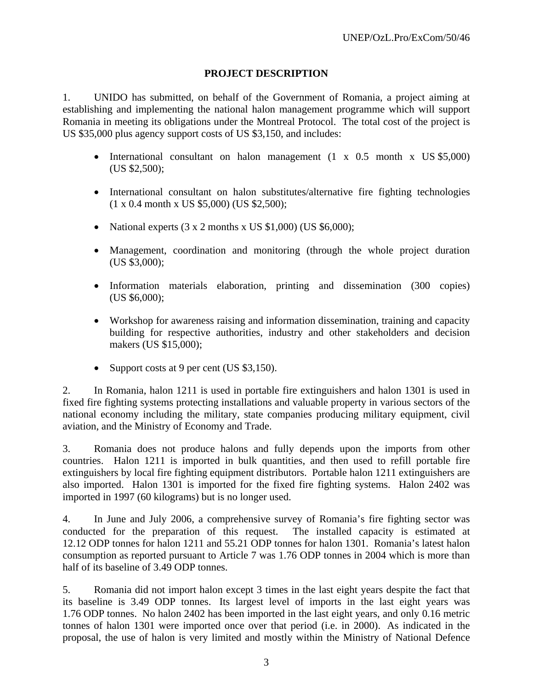## **PROJECT DESCRIPTION**

1. UNIDO has submitted, on behalf of the Government of Romania, a project aiming at establishing and implementing the national halon management programme which will support Romania in meeting its obligations under the Montreal Protocol. The total cost of the project is US \$35,000 plus agency support costs of US \$3,150, and includes:

- International consultant on halon management (1 x 0.5 month x US \$5,000) (US \$2,500);
- International consultant on halon substitutes/alternative fire fighting technologies (1 x 0.4 month x US \$5,000) (US \$2,500);
- National experts  $(3 \times 2 \text{ months} \times \text{US } $1,000)$  (US  $$6,000)$ ;
- Management, coordination and monitoring (through the whole project duration (US \$3,000);
- Information materials elaboration, printing and dissemination (300 copies) (US \$6,000);
- Workshop for awareness raising and information dissemination, training and capacity building for respective authorities, industry and other stakeholders and decision makers (US \$15,000);
- Support costs at 9 per cent (US \$3,150).

2. In Romania, halon 1211 is used in portable fire extinguishers and halon 1301 is used in fixed fire fighting systems protecting installations and valuable property in various sectors of the national economy including the military, state companies producing military equipment, civil aviation, and the Ministry of Economy and Trade.

3. Romania does not produce halons and fully depends upon the imports from other countries. Halon 1211 is imported in bulk quantities, and then used to refill portable fire extinguishers by local fire fighting equipment distributors. Portable halon 1211 extinguishers are also imported. Halon 1301 is imported for the fixed fire fighting systems. Halon 2402 was imported in 1997 (60 kilograms) but is no longer used.

4. In June and July 2006, a comprehensive survey of Romania's fire fighting sector was conducted for the preparation of this request. The installed capacity is estimated at 12.12 ODP tonnes for halon 1211 and 55.21 ODP tonnes for halon 1301. Romania's latest halon consumption as reported pursuant to Article 7 was 1.76 ODP tonnes in 2004 which is more than half of its baseline of 3.49 ODP tonnes.

5. Romania did not import halon except 3 times in the last eight years despite the fact that its baseline is 3.49 ODP tonnes. Its largest level of imports in the last eight years was 1.76 ODP tonnes. No halon 2402 has been imported in the last eight years, and only 0.16 metric tonnes of halon 1301 were imported once over that period (i.e. in 2000). As indicated in the proposal, the use of halon is very limited and mostly within the Ministry of National Defence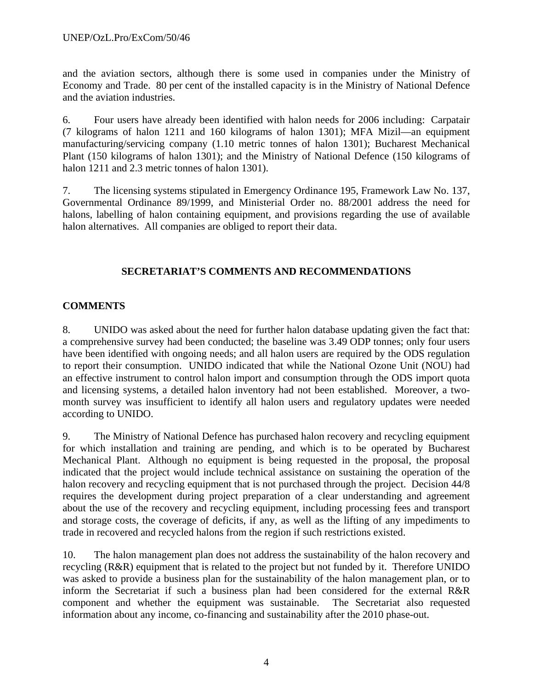and the aviation sectors, although there is some used in companies under the Ministry of Economy and Trade. 80 per cent of the installed capacity is in the Ministry of National Defence and the aviation industries.

6. Four users have already been identified with halon needs for 2006 including: Carpatair (7 kilograms of halon 1211 and 160 kilograms of halon 1301); MFA Mizil—an equipment manufacturing/servicing company (1.10 metric tonnes of halon 1301); Bucharest Mechanical Plant (150 kilograms of halon 1301); and the Ministry of National Defence (150 kilograms of halon 1211 and 2.3 metric tonnes of halon 1301).

7. The licensing systems stipulated in Emergency Ordinance 195, Framework Law No. 137, Governmental Ordinance 89/1999, and Ministerial Order no. 88/2001 address the need for halons, labelling of halon containing equipment, and provisions regarding the use of available halon alternatives. All companies are obliged to report their data.

## **SECRETARIAT'S COMMENTS AND RECOMMENDATIONS**

## **COMMENTS**

8. UNIDO was asked about the need for further halon database updating given the fact that: a comprehensive survey had been conducted; the baseline was 3.49 ODP tonnes; only four users have been identified with ongoing needs; and all halon users are required by the ODS regulation to report their consumption. UNIDO indicated that while the National Ozone Unit (NOU) had an effective instrument to control halon import and consumption through the ODS import quota and licensing systems, a detailed halon inventory had not been established. Moreover, a twomonth survey was insufficient to identify all halon users and regulatory updates were needed according to UNIDO.

9. The Ministry of National Defence has purchased halon recovery and recycling equipment for which installation and training are pending, and which is to be operated by Bucharest Mechanical Plant. Although no equipment is being requested in the proposal, the proposal indicated that the project would include technical assistance on sustaining the operation of the halon recovery and recycling equipment that is not purchased through the project. Decision 44/8 requires the development during project preparation of a clear understanding and agreement about the use of the recovery and recycling equipment, including processing fees and transport and storage costs, the coverage of deficits, if any, as well as the lifting of any impediments to trade in recovered and recycled halons from the region if such restrictions existed.

10. The halon management plan does not address the sustainability of the halon recovery and recycling (R&R) equipment that is related to the project but not funded by it. Therefore UNIDO was asked to provide a business plan for the sustainability of the halon management plan, or to inform the Secretariat if such a business plan had been considered for the external R&R component and whether the equipment was sustainable. The Secretariat also requested information about any income, co-financing and sustainability after the 2010 phase-out.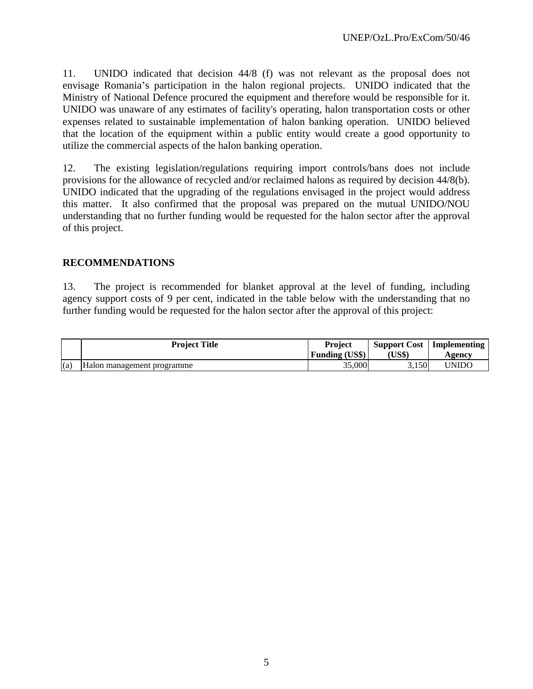11. UNIDO indicated that decision 44/8 (f) was not relevant as the proposal does not envisage Romania's participation in the halon regional projects. UNIDO indicated that the Ministry of National Defence procured the equipment and therefore would be responsible for it. UNIDO was unaware of any estimates of facility's operating, halon transportation costs or other expenses related to sustainable implementation of halon banking operation. UNIDO believed that the location of the equipment within a public entity would create a good opportunity to utilize the commercial aspects of the halon banking operation.

12. The existing legislation/regulations requiring import controls/bans does not include provisions for the allowance of recycled and/or reclaimed halons as required by decision 44/8(b). UNIDO indicated that the upgrading of the regulations envisaged in the project would address this matter. It also confirmed that the proposal was prepared on the mutual UNIDO/NOU understanding that no further funding would be requested for the halon sector after the approval of this project.

#### **RECOMMENDATIONS**

13. The project is recommended for blanket approval at the level of funding, including agency support costs of 9 per cent, indicated in the table below with the understanding that no further funding would be requested for the halon sector after the approval of this project:

|     | <b>Project Title</b>       | <b>Project</b>        | <b>Support Cost</b> | Implementing |
|-----|----------------------------|-----------------------|---------------------|--------------|
|     |                            | <b>Funding (US\$)</b> | <b>US\$)</b>        | Agency       |
| (a) | Halon management programme | 35,000                | 3.150               | 'JNIDC       |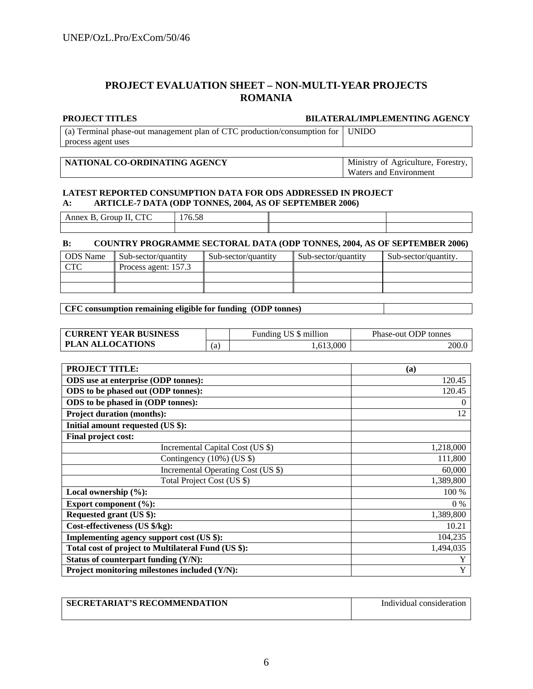#### **PROJECT EVALUATION SHEET – NON-MULTI-YEAR PROJECTS ROMANIA**

#### **PROJECT TITLES BILATERAL/IMPLEMENTING AGENCY**

(a) Terminal phase-out management plan of CTC production/consumption for process agent uses UNIDO

#### **NATIONAL CO-ORDINATING AGENCY** Ministry of Agriculture, Forestry,

Waters and Environment

#### **LATEST REPORTED CONSUMPTION DATA FOR ODS ADDRESSED IN PROJECT A: ARTICLE-7 DATA (ODP TONNES, 2004, AS OF SEPTEMBER 2006)**

| $\sim$<br>$\sim$<br>___<br>__ | $\sim$ $\sim$<br>$-$<br>$\overline{\phantom{a}}$<br>הכ.סי |  |
|-------------------------------|-----------------------------------------------------------|--|
|                               |                                                           |  |

#### **B: COUNTRY PROGRAMME SECTORAL DATA (ODP TONNES, 2004, AS OF SEPTEMBER 2006)**

| <b>ODS</b> Name | Sub-sector/quantity  | Sub-sector/quantity | Sub-sector/quantity | Sub-sector/quantity. |
|-----------------|----------------------|---------------------|---------------------|----------------------|
|                 | Process agent: 157.3 |                     |                     |                      |
|                 |                      |                     |                     |                      |
|                 |                      |                     |                     |                      |

#### **CFC consumption remaining eligible for funding (ODP tonnes)**

| <b>CURRENT YEAR BUSINESS</b> |    | Funding US \$ million | Phase-out ODP tonnes |
|------------------------------|----|-----------------------|----------------------|
| <b>PLAN ALLOCATIONS</b>      | a. | ,613,000              | 200.0                |

| <b>PROJECT TITLE:</b>                               | (a)         |
|-----------------------------------------------------|-------------|
| ODS use at enterprise (ODP tonnes):                 | 120.45      |
| ODS to be phased out (ODP tonnes):                  | 120.45      |
| ODS to be phased in (ODP tonnes):                   | 0           |
| <b>Project duration (months):</b>                   | 12          |
| Initial amount requested (US \$):                   |             |
| Final project cost:                                 |             |
| Incremental Capital Cost (US \$)                    | 1,218,000   |
| Contingency (10%) (US \$)                           | 111,800     |
| Incremental Operating Cost (US \$)                  | 60,000      |
| Total Project Cost (US \$)                          | 1,389,800   |
| Local ownership $(\%):$                             | 100 %       |
| <b>Export component (%):</b>                        | $0\%$       |
| Requested grant (US \$):                            | 1,389,800   |
| Cost-effectiveness (US \$/kg):                      | 10.21       |
| Implementing agency support cost (US \$):           | 104,235     |
| Total cost of project to Multilateral Fund (US \$): | 1,494,035   |
| Status of counterpart funding (Y/N):                | Y           |
| Project monitoring milestones included (Y/N):       | $\mathbf Y$ |

| <b>SECRETARIAT'S RECOMMENDATION</b> | Individual consideration |
|-------------------------------------|--------------------------|
|                                     |                          |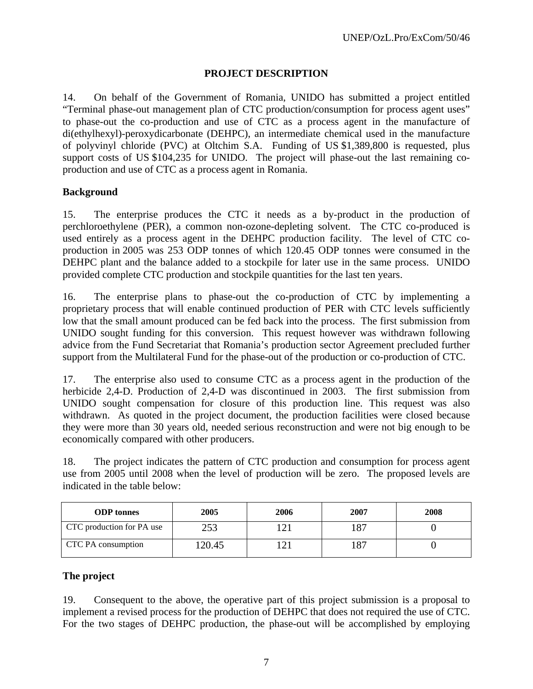#### **PROJECT DESCRIPTION**

14. On behalf of the Government of Romania, UNIDO has submitted a project entitled "Terminal phase-out management plan of CTC production/consumption for process agent uses" to phase-out the co-production and use of CTC as a process agent in the manufacture of di(ethylhexyl)-peroxydicarbonate (DEHPC), an intermediate chemical used in the manufacture of polyvinyl chloride (PVC) at Oltchim S.A. Funding of US \$1,389,800 is requested, plus support costs of US \$104,235 for UNIDO. The project will phase-out the last remaining coproduction and use of CTC as a process agent in Romania.

#### **Background**

15. The enterprise produces the CTC it needs as a by-product in the production of perchloroethylene (PER), a common non-ozone-depleting solvent. The CTC co-produced is used entirely as a process agent in the DEHPC production facility. The level of CTC coproduction in 2005 was 253 ODP tonnes of which 120.45 ODP tonnes were consumed in the DEHPC plant and the balance added to a stockpile for later use in the same process. UNIDO provided complete CTC production and stockpile quantities for the last ten years.

16. The enterprise plans to phase-out the co-production of CTC by implementing a proprietary process that will enable continued production of PER with CTC levels sufficiently low that the small amount produced can be fed back into the process. The first submission from UNIDO sought funding for this conversion. This request however was withdrawn following advice from the Fund Secretariat that Romania's production sector Agreement precluded further support from the Multilateral Fund for the phase-out of the production or co-production of CTC.

17. The enterprise also used to consume CTC as a process agent in the production of the herbicide 2,4-D. Production of 2,4-D was discontinued in 2003. The first submission from UNIDO sought compensation for closure of this production line. This request was also withdrawn. As quoted in the project document, the production facilities were closed because they were more than 30 years old, needed serious reconstruction and were not big enough to be economically compared with other producers.

18. The project indicates the pattern of CTC production and consumption for process agent use from 2005 until 2008 when the level of production will be zero. The proposed levels are indicated in the table below:

| <b>ODP</b> tonnes         | 2005   | 2006 | 2007 | 2008 |
|---------------------------|--------|------|------|------|
| CTC production for PA use | つよつ    |      | 187  |      |
| CTC PA consumption        | 120.45 |      | 187  |      |

### **The project**

19. Consequent to the above, the operative part of this project submission is a proposal to implement a revised process for the production of DEHPC that does not required the use of CTC. For the two stages of DEHPC production, the phase-out will be accomplished by employing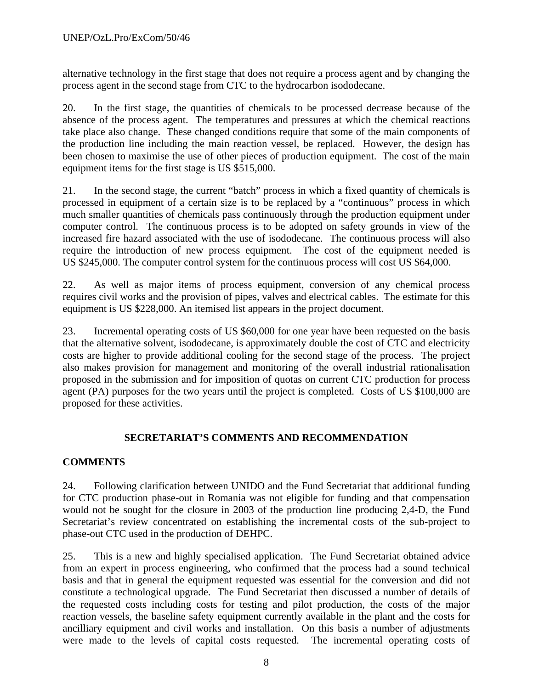alternative technology in the first stage that does not require a process agent and by changing the process agent in the second stage from CTC to the hydrocarbon isododecane.

20. In the first stage, the quantities of chemicals to be processed decrease because of the absence of the process agent. The temperatures and pressures at which the chemical reactions take place also change. These changed conditions require that some of the main components of the production line including the main reaction vessel, be replaced. However, the design has been chosen to maximise the use of other pieces of production equipment. The cost of the main equipment items for the first stage is US \$515,000.

21. In the second stage, the current "batch" process in which a fixed quantity of chemicals is processed in equipment of a certain size is to be replaced by a "continuous" process in which much smaller quantities of chemicals pass continuously through the production equipment under computer control. The continuous process is to be adopted on safety grounds in view of the increased fire hazard associated with the use of isododecane. The continuous process will also require the introduction of new process equipment. The cost of the equipment needed is US \$245,000. The computer control system for the continuous process will cost US \$64,000.

22. As well as major items of process equipment, conversion of any chemical process requires civil works and the provision of pipes, valves and electrical cables. The estimate for this equipment is US \$228,000. An itemised list appears in the project document.

23. Incremental operating costs of US \$60,000 for one year have been requested on the basis that the alternative solvent, isododecane, is approximately double the cost of CTC and electricity costs are higher to provide additional cooling for the second stage of the process. The project also makes provision for management and monitoring of the overall industrial rationalisation proposed in the submission and for imposition of quotas on current CTC production for process agent (PA) purposes for the two years until the project is completed. Costs of US \$100,000 are proposed for these activities.

## **SECRETARIAT'S COMMENTS AND RECOMMENDATION**

## **COMMENTS**

24. Following clarification between UNIDO and the Fund Secretariat that additional funding for CTC production phase-out in Romania was not eligible for funding and that compensation would not be sought for the closure in 2003 of the production line producing 2,4-D, the Fund Secretariat's review concentrated on establishing the incremental costs of the sub-project to phase-out CTC used in the production of DEHPC.

25. This is a new and highly specialised application. The Fund Secretariat obtained advice from an expert in process engineering, who confirmed that the process had a sound technical basis and that in general the equipment requested was essential for the conversion and did not constitute a technological upgrade. The Fund Secretariat then discussed a number of details of the requested costs including costs for testing and pilot production, the costs of the major reaction vessels, the baseline safety equipment currently available in the plant and the costs for ancilliary equipment and civil works and installation. On this basis a number of adjustments were made to the levels of capital costs requested. The incremental operating costs of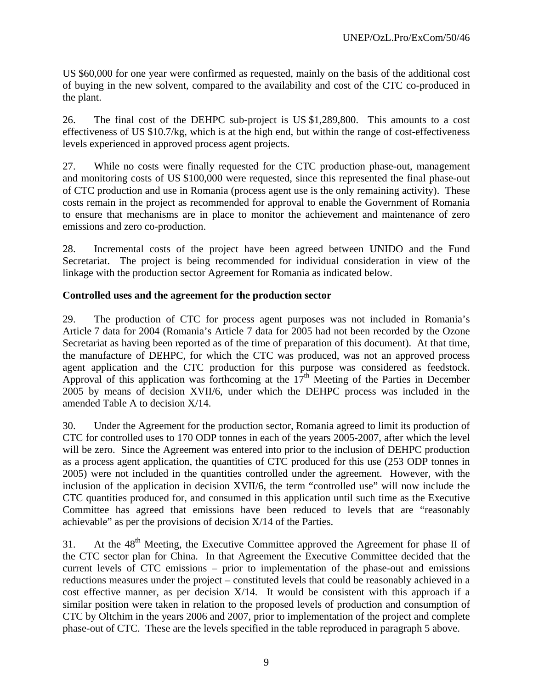US \$60,000 for one year were confirmed as requested, mainly on the basis of the additional cost of buying in the new solvent, compared to the availability and cost of the CTC co-produced in the plant.

26. The final cost of the DEHPC sub-project is US \$1,289,800. This amounts to a cost effectiveness of US \$10.7/kg, which is at the high end, but within the range of cost-effectiveness levels experienced in approved process agent projects.

27. While no costs were finally requested for the CTC production phase-out, management and monitoring costs of US \$100,000 were requested, since this represented the final phase-out of CTC production and use in Romania (process agent use is the only remaining activity). These costs remain in the project as recommended for approval to enable the Government of Romania to ensure that mechanisms are in place to monitor the achievement and maintenance of zero emissions and zero co-production.

28. Incremental costs of the project have been agreed between UNIDO and the Fund Secretariat. The project is being recommended for individual consideration in view of the linkage with the production sector Agreement for Romania as indicated below.

#### **Controlled uses and the agreement for the production sector**

29. The production of CTC for process agent purposes was not included in Romania's Article 7 data for 2004 (Romania's Article 7 data for 2005 had not been recorded by the Ozone Secretariat as having been reported as of the time of preparation of this document). At that time, the manufacture of DEHPC, for which the CTC was produced, was not an approved process agent application and the CTC production for this purpose was considered as feedstock. Approval of this application was forthcoming at the  $17<sup>th</sup>$  Meeting of the Parties in December 2005 by means of decision XVII/6, under which the DEHPC process was included in the amended Table A to decision X/14.

30. Under the Agreement for the production sector, Romania agreed to limit its production of CTC for controlled uses to 170 ODP tonnes in each of the years 2005-2007, after which the level will be zero. Since the Agreement was entered into prior to the inclusion of DEHPC production as a process agent application, the quantities of CTC produced for this use (253 ODP tonnes in 2005) were not included in the quantities controlled under the agreement. However, with the inclusion of the application in decision XVII/6, the term "controlled use" will now include the CTC quantities produced for, and consumed in this application until such time as the Executive Committee has agreed that emissions have been reduced to levels that are "reasonably achievable" as per the provisions of decision X/14 of the Parties.

31. At the 48<sup>th</sup> Meeting, the Executive Committee approved the Agreement for phase II of the CTC sector plan for China. In that Agreement the Executive Committee decided that the current levels of CTC emissions – prior to implementation of the phase-out and emissions reductions measures under the project – constituted levels that could be reasonably achieved in a cost effective manner, as per decision X/14. It would be consistent with this approach if a similar position were taken in relation to the proposed levels of production and consumption of CTC by Oltchim in the years 2006 and 2007, prior to implementation of the project and complete phase-out of CTC. These are the levels specified in the table reproduced in paragraph 5 above.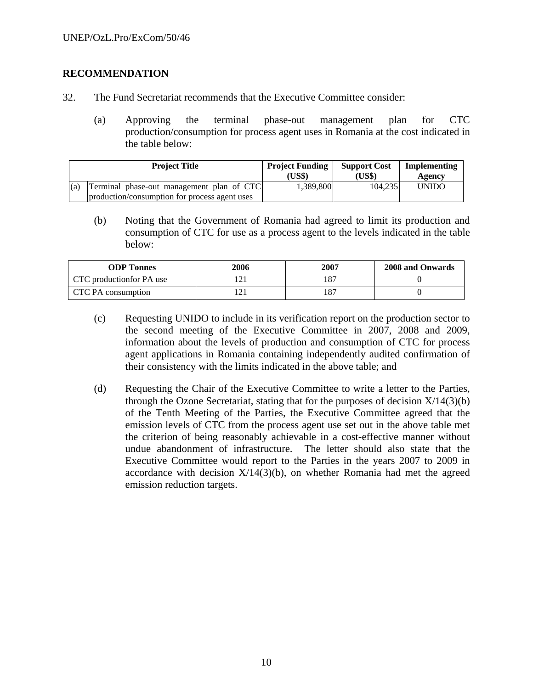#### **RECOMMENDATION**

- 32. The Fund Secretariat recommends that the Executive Committee consider:
	- (a) Approving the terminal phase-out management plan for CTC production/consumption for process agent uses in Romania at the cost indicated in the table below:

|     | <b>Project Title</b>                                                                       | <b>Project Funding</b><br>(US\$) | <b>Support Cost</b><br>(US\$) | Implementing<br>Agency |
|-----|--------------------------------------------------------------------------------------------|----------------------------------|-------------------------------|------------------------|
| (a) | Terminal phase-out management plan of CTC<br>production/consumption for process agent uses | 1,389,800                        | 104,235                       | UNIDO                  |

(b) Noting that the Government of Romania had agreed to limit its production and consumption of CTC for use as a process agent to the levels indicated in the table below:

| <b>ODP</b> Tonnes         | 2006 | 2007 | <b>2008 and Onwards</b> |
|---------------------------|------|------|-------------------------|
| CTC production for PA use |      |      |                         |
| CTC PA consumption        |      |      |                         |

- (c) Requesting UNIDO to include in its verification report on the production sector to the second meeting of the Executive Committee in 2007, 2008 and 2009, information about the levels of production and consumption of CTC for process agent applications in Romania containing independently audited confirmation of their consistency with the limits indicated in the above table; and
- (d) Requesting the Chair of the Executive Committee to write a letter to the Parties, through the Ozone Secretariat, stating that for the purposes of decision  $X/14(3)(b)$ of the Tenth Meeting of the Parties, the Executive Committee agreed that the emission levels of CTC from the process agent use set out in the above table met the criterion of being reasonably achievable in a cost-effective manner without undue abandonment of infrastructure. The letter should also state that the Executive Committee would report to the Parties in the years 2007 to 2009 in accordance with decision  $X/14(3)(b)$ , on whether Romania had met the agreed emission reduction targets.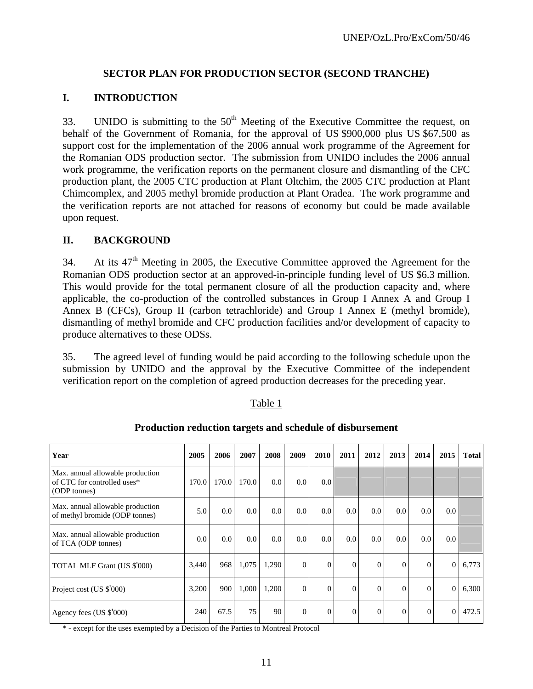### **SECTOR PLAN FOR PRODUCTION SECTOR (SECOND TRANCHE)**

#### **I. INTRODUCTION**

33. UNIDO is submitting to the  $50<sup>th</sup>$  Meeting of the Executive Committee the request, on behalf of the Government of Romania, for the approval of US \$900,000 plus US \$67,500 as support cost for the implementation of the 2006 annual work programme of the Agreement for the Romanian ODS production sector. The submission from UNIDO includes the 2006 annual work programme, the verification reports on the permanent closure and dismantling of the CFC production plant, the 2005 CTC production at Plant Oltchim, the 2005 CTC production at Plant Chimcomplex, and 2005 methyl bromide production at Plant Oradea. The work programme and the verification reports are not attached for reasons of economy but could be made available upon request.

#### **II. BACKGROUND**

34. At its  $47<sup>th</sup>$  Meeting in 2005, the Executive Committee approved the Agreement for the Romanian ODS production sector at an approved-in-principle funding level of US \$6.3 million. This would provide for the total permanent closure of all the production capacity and, where applicable, the co-production of the controlled substances in Group I Annex A and Group I Annex B (CFCs), Group II (carbon tetrachloride) and Group I Annex E (methyl bromide), dismantling of methyl bromide and CFC production facilities and/or development of capacity to produce alternatives to these ODSs.

35. The agreed level of funding would be paid according to the following schedule upon the submission by UNIDO and the approval by the Executive Committee of the independent verification report on the completion of agreed production decreases for the preceding year.

#### Table 1

| Year                                                                            | 2005  | 2006  | 2007  | 2008  | 2009           | 2010             | 2011     | 2012     | 2013     | 2014     | 2015         | <b>Total</b> |
|---------------------------------------------------------------------------------|-------|-------|-------|-------|----------------|------------------|----------|----------|----------|----------|--------------|--------------|
| Max. annual allowable production<br>of CTC for controlled uses*<br>(ODP tonnes) | 170.0 | 170.0 | 170.0 | 0.0   | 0.0            | 0.0 <sub>l</sub> |          |          |          |          |              |              |
| Max. annual allowable production<br>of methyl bromide (ODP tonnes)              | 5.0   | 0.0   | 0.0   | 0.0   | 0.0            | 0.0 <sub>1</sub> | 0.0      | 0.0      | 0.0      | 0.0      | 0.0          |              |
| Max. annual allowable production<br>of TCA (ODP tonnes)                         | 0.0   | 0.0   | 0.0   | 0.0   | 0.0            | 0.0 <sub>l</sub> | 0.0      | 0.0      | 0.0      | 0.0      | 0.0          |              |
| TOTAL MLF Grant (US \$'000)                                                     | 3,440 | 968   | 1,075 | 1,290 | $\overline{0}$ | $\overline{0}$   | $\Omega$ | $\Omega$ | $\Omega$ | $\Omega$ | $\Omega$     | 6,773        |
| Project cost (US \$'000)                                                        | 3,200 | 900   | 1,000 | 1,200 | $\overline{0}$ | $\overline{0}$   | $\Omega$ | $\Omega$ | $\Omega$ | $\Omega$ | $\mathbf{0}$ | 6,300        |
| Agency fees (US \$'000)                                                         | 240   | 67.5  | 75    | 90    | $\Omega$       | $\overline{0}$   | $\Omega$ | $\Omega$ | $\Omega$ | $\Omega$ | $\Omega$     | 472.5        |

#### **Production reduction targets and schedule of disbursement**

\* - except for the uses exempted by a Decision of the Parties to Montreal Protocol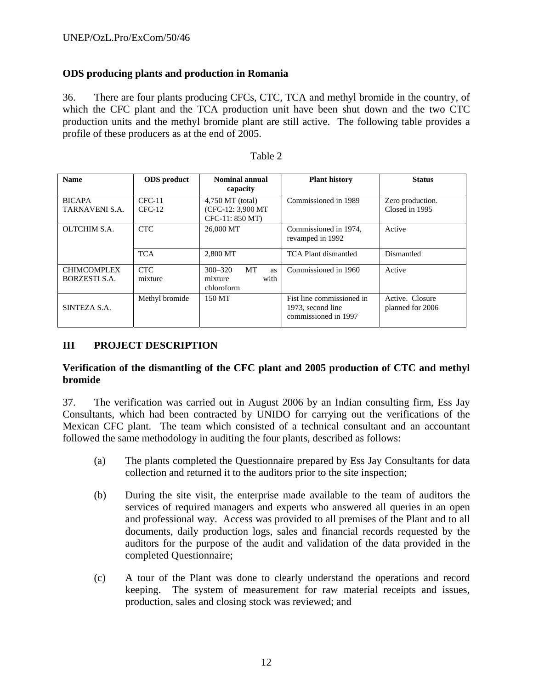### **ODS producing plants and production in Romania**

36. There are four plants producing CFCs, CTC, TCA and methyl bromide in the country, of which the CFC plant and the TCA production unit have been shut down and the two CTC production units and the methyl bromide plant are still active. The following table provides a profile of these producers as at the end of 2005.

| <b>Name</b>                         | <b>ODS</b> product   | Nominal annual<br>capacity                                | <b>Plant history</b>                                                   | <b>Status</b>                       |  |
|-------------------------------------|----------------------|-----------------------------------------------------------|------------------------------------------------------------------------|-------------------------------------|--|
| <b>BICAPA</b><br>TARNAVENI S.A.     | $CFC-11$<br>$CFC-12$ | 4,750 MT (total)<br>(CFC-12: 3,900 MT)<br>CFC-11: 850 MT) | Commissioned in 1989                                                   | Zero production.<br>Closed in 1995  |  |
| OLTCHIM S.A.                        | <b>CTC</b>           | 26,000 MT                                                 | Commissioned in 1974,<br>revamped in 1992                              | Active                              |  |
|                                     | <b>TCA</b>           | 2,800 MT                                                  | TCA Plant dismantled                                                   | Dismantled                          |  |
| <b>CHIMCOMPLEX</b><br>BORZESTI S.A. | CTC.<br>mixture      | MT<br>$300 - 320$<br>as<br>with<br>mixture<br>chloroform  | Commissioned in 1960                                                   | Active                              |  |
| SINTEZA S.A.                        | Methyl bromide       | 150 MT                                                    | Fist line commissioned in<br>1973, second line<br>commissioned in 1997 | Active. Closure<br>planned for 2006 |  |

| аріє |  |
|------|--|
|------|--|

## **III PROJECT DESCRIPTION**

### **Verification of the dismantling of the CFC plant and 2005 production of CTC and methyl bromide**

37. The verification was carried out in August 2006 by an Indian consulting firm, Ess Jay Consultants, which had been contracted by UNIDO for carrying out the verifications of the Mexican CFC plant. The team which consisted of a technical consultant and an accountant followed the same methodology in auditing the four plants, described as follows:

- (a) The plants completed the Questionnaire prepared by Ess Jay Consultants for data collection and returned it to the auditors prior to the site inspection;
- (b) During the site visit, the enterprise made available to the team of auditors the services of required managers and experts who answered all queries in an open and professional way. Access was provided to all premises of the Plant and to all documents, daily production logs, sales and financial records requested by the auditors for the purpose of the audit and validation of the data provided in the completed Questionnaire;
- (c) A tour of the Plant was done to clearly understand the operations and record keeping. The system of measurement for raw material receipts and issues, production, sales and closing stock was reviewed; and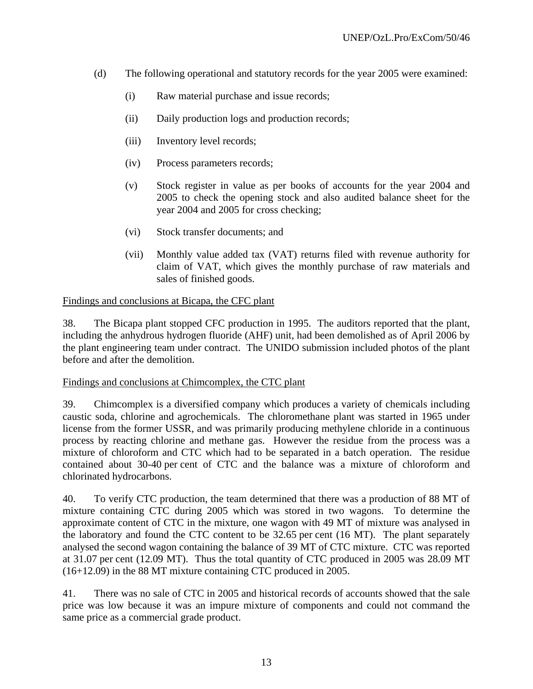- (d) The following operational and statutory records for the year 2005 were examined:
	- (i) Raw material purchase and issue records;
	- (ii) Daily production logs and production records;
	- (iii) Inventory level records;
	- (iv) Process parameters records;
	- (v) Stock register in value as per books of accounts for the year 2004 and 2005 to check the opening stock and also audited balance sheet for the year 2004 and 2005 for cross checking;
	- (vi) Stock transfer documents; and
	- (vii) Monthly value added tax (VAT) returns filed with revenue authority for claim of VAT, which gives the monthly purchase of raw materials and sales of finished goods.

#### Findings and conclusions at Bicapa, the CFC plant

38. The Bicapa plant stopped CFC production in 1995. The auditors reported that the plant, including the anhydrous hydrogen fluoride (AHF) unit, had been demolished as of April 2006 by the plant engineering team under contract. The UNIDO submission included photos of the plant before and after the demolition.

#### Findings and conclusions at Chimcomplex, the CTC plant

39. Chimcomplex is a diversified company which produces a variety of chemicals including caustic soda, chlorine and agrochemicals. The chloromethane plant was started in 1965 under license from the former USSR, and was primarily producing methylene chloride in a continuous process by reacting chlorine and methane gas. However the residue from the process was a mixture of chloroform and CTC which had to be separated in a batch operation. The residue contained about 30-40 per cent of CTC and the balance was a mixture of chloroform and chlorinated hydrocarbons.

40. To verify CTC production, the team determined that there was a production of 88 MT of mixture containing CTC during 2005 which was stored in two wagons. To determine the approximate content of CTC in the mixture, one wagon with 49 MT of mixture was analysed in the laboratory and found the CTC content to be 32.65 per cent (16 MT). The plant separately analysed the second wagon containing the balance of 39 MT of CTC mixture. CTC was reported at 31.07 per cent (12.09 MT). Thus the total quantity of CTC produced in 2005 was 28.09 MT (16+12.09) in the 88 MT mixture containing CTC produced in 2005.

41. There was no sale of CTC in 2005 and historical records of accounts showed that the sale price was low because it was an impure mixture of components and could not command the same price as a commercial grade product.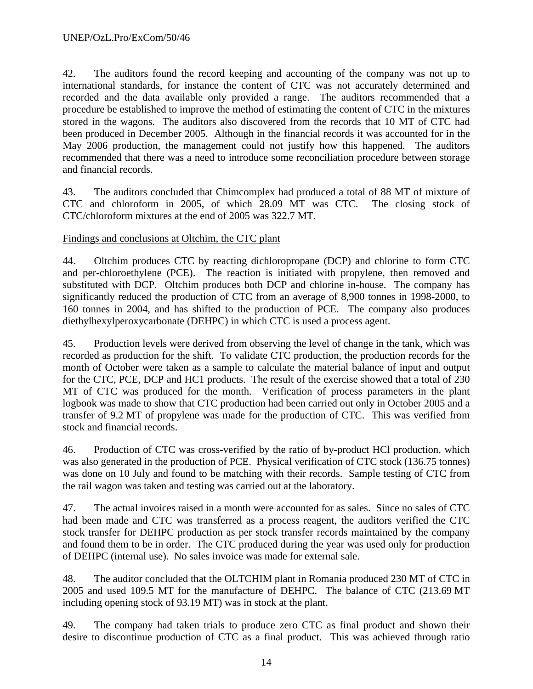42. The auditors found the record keeping and accounting of the company was not up to international standards, for instance the content of CTC was not accurately determined and recorded and the data available only provided a range. The auditors recommended that a procedure be established to improve the method of estimating the content of CTC in the mixtures stored in the wagons. The auditors also discovered from the records that 10 MT of CTC had been produced in December 2005. Although in the financial records it was accounted for in the May 2006 production, the management could not justify how this happened. The auditors recommended that there was a need to introduce some reconciliation procedure between storage and financial records.

43. The auditors concluded that Chimcomplex had produced a total of 88 MT of mixture of CTC and chloroform in 2005, of which 28.09 MT was CTC. The closing stock of CTC/chloroform mixtures at the end of 2005 was 322.7 MT.

### Findings and conclusions at Oltchim, the CTC plant

44. Oltchim produces CTC by reacting dichloropropane (DCP) and chlorine to form CTC and per-chloroethylene (PCE). The reaction is initiated with propylene, then removed and substituted with DCP. Oltchim produces both DCP and chlorine in-house. The company has significantly reduced the production of CTC from an average of 8,900 tonnes in 1998-2000, to 160 tonnes in 2004, and has shifted to the production of PCE. The company also produces diethylhexylperoxycarbonate (DEHPC) in which CTC is used a process agent.

45. Production levels were derived from observing the level of change in the tank, which was recorded as production for the shift. To validate CTC production, the production records for the month of October were taken as a sample to calculate the material balance of input and output for the CTC, PCE, DCP and HC1 products. The result of the exercise showed that a total of 230 MT of CTC was produced for the month. Verification of process parameters in the plant logbook was made to show that CTC production had been carried out only in October 2005 and a transfer of 9.2 MT of propylene was made for the production of CTC. This was verified from stock and financial records.

46. Production of CTC was cross-verified by the ratio of by-product HCl production, which was also generated in the production of PCE. Physical verification of CTC stock (136.75 tonnes) was done on 10 July and found to be matching with their records. Sample testing of CTC from the rail wagon was taken and testing was carried out at the laboratory.

47. The actual invoices raised in a month were accounted for as sales. Since no sales of CTC had been made and CTC was transferred as a process reagent, the auditors verified the CTC stock transfer for DEHPC production as per stock transfer records maintained by the company and found them to be in order. The CTC produced during the year was used only for production of DEHPC (internal use). No sales invoice was made for external sale.

48. The auditor concluded that the OLTCHIM plant in Romania produced 230 MT of CTC in 2005 and used 109.5 MT for the manufacture of DEHPC. The balance of CTC (213.69 MT including opening stock of 93.19 MT) was in stock at the plant.

49. The company had taken trials to produce zero CTC as final product and shown their desire to discontinue production of CTC as a final product. This was achieved through ratio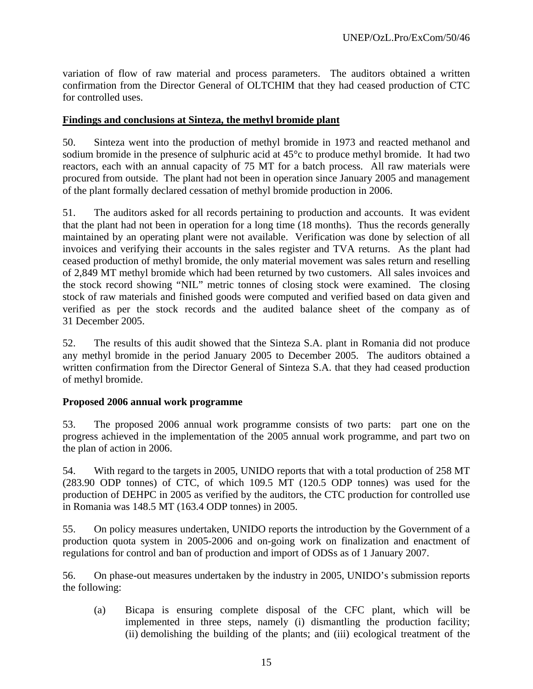variation of flow of raw material and process parameters. The auditors obtained a written confirmation from the Director General of OLTCHIM that they had ceased production of CTC for controlled uses.

#### **Findings and conclusions at Sinteza, the methyl bromide plant**

50. Sinteza went into the production of methyl bromide in 1973 and reacted methanol and sodium bromide in the presence of sulphuric acid at 45°c to produce methyl bromide. It had two reactors, each with an annual capacity of 75 MT for a batch process. All raw materials were procured from outside. The plant had not been in operation since January 2005 and management of the plant formally declared cessation of methyl bromide production in 2006.

51. The auditors asked for all records pertaining to production and accounts. It was evident that the plant had not been in operation for a long time (18 months). Thus the records generally maintained by an operating plant were not available. Verification was done by selection of all invoices and verifying their accounts in the sales register and TVA returns. As the plant had ceased production of methyl bromide, the only material movement was sales return and reselling of 2,849 MT methyl bromide which had been returned by two customers. All sales invoices and the stock record showing "NIL" metric tonnes of closing stock were examined. The closing stock of raw materials and finished goods were computed and verified based on data given and verified as per the stock records and the audited balance sheet of the company as of 31 December 2005.

52. The results of this audit showed that the Sinteza S.A. plant in Romania did not produce any methyl bromide in the period January 2005 to December 2005. The auditors obtained a written confirmation from the Director General of Sinteza S.A. that they had ceased production of methyl bromide.

#### **Proposed 2006 annual work programme**

53. The proposed 2006 annual work programme consists of two parts: part one on the progress achieved in the implementation of the 2005 annual work programme, and part two on the plan of action in 2006.

54. With regard to the targets in 2005, UNIDO reports that with a total production of 258 MT (283.90 ODP tonnes) of CTC, of which 109.5 MT (120.5 ODP tonnes) was used for the production of DEHPC in 2005 as verified by the auditors, the CTC production for controlled use in Romania was 148.5 MT (163.4 ODP tonnes) in 2005.

55. On policy measures undertaken, UNIDO reports the introduction by the Government of a production quota system in 2005-2006 and on-going work on finalization and enactment of regulations for control and ban of production and import of ODSs as of 1 January 2007.

56. On phase-out measures undertaken by the industry in 2005, UNIDO's submission reports the following:

(a) Bicapa is ensuring complete disposal of the CFC plant, which will be implemented in three steps, namely (i) dismantling the production facility; (ii) demolishing the building of the plants; and (iii) ecological treatment of the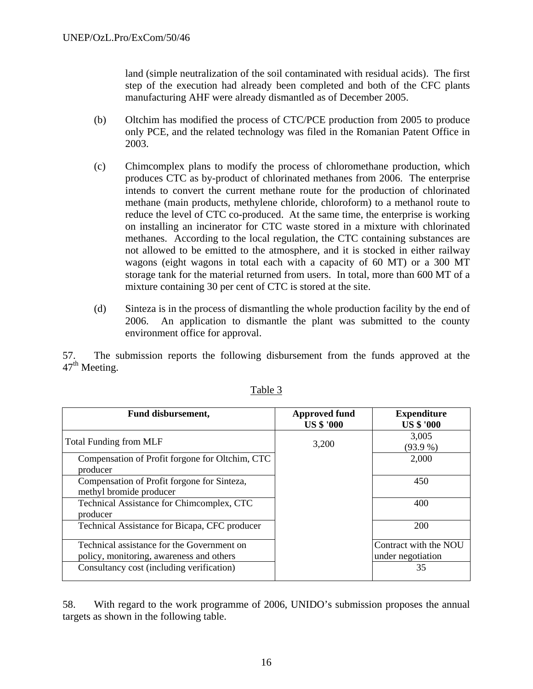land (simple neutralization of the soil contaminated with residual acids). The first step of the execution had already been completed and both of the CFC plants manufacturing AHF were already dismantled as of December 2005.

- (b) Oltchim has modified the process of CTC/PCE production from 2005 to produce only PCE, and the related technology was filed in the Romanian Patent Office in 2003.
- (c) Chimcomplex plans to modify the process of chloromethane production, which produces CTC as by-product of chlorinated methanes from 2006. The enterprise intends to convert the current methane route for the production of chlorinated methane (main products, methylene chloride, chloroform) to a methanol route to reduce the level of CTC co-produced. At the same time, the enterprise is working on installing an incinerator for CTC waste stored in a mixture with chlorinated methanes. According to the local regulation, the CTC containing substances are not allowed to be emitted to the atmosphere, and it is stocked in either railway wagons (eight wagons in total each with a capacity of 60 MT) or a 300 MT storage tank for the material returned from users. In total, more than 600 MT of a mixture containing 30 per cent of CTC is stored at the site.
- (d) Sinteza is in the process of dismantling the whole production facility by the end of 2006. An application to dismantle the plant was submitted to the county environment office for approval.

57. The submission reports the following disbursement from the funds approved at the  $47<sup>th</sup>$  Meeting.

| Fund disbursement,                                                                     | <b>Approved fund</b><br><b>US \$ '000</b> | <b>Expenditure</b><br><b>US \$ '000</b>    |  |  |
|----------------------------------------------------------------------------------------|-------------------------------------------|--------------------------------------------|--|--|
| <b>Total Funding from MLF</b>                                                          | 3,200                                     | 3,005<br>(93.9%                            |  |  |
| Compensation of Profit forgone for Oltchim, CTC<br>producer                            |                                           | 2,000                                      |  |  |
| Compensation of Profit forgone for Sinteza,<br>methyl bromide producer                 |                                           | 450                                        |  |  |
| Technical Assistance for Chimcomplex, CTC<br>producer                                  |                                           | 400                                        |  |  |
| Technical Assistance for Bicapa, CFC producer                                          |                                           | 200                                        |  |  |
| Technical assistance for the Government on<br>policy, monitoring, awareness and others |                                           | Contract with the NOU<br>under negotiation |  |  |
| Consultancy cost (including verification)                                              |                                           | 35                                         |  |  |

### Table 3

58. With regard to the work programme of 2006, UNIDO's submission proposes the annual targets as shown in the following table.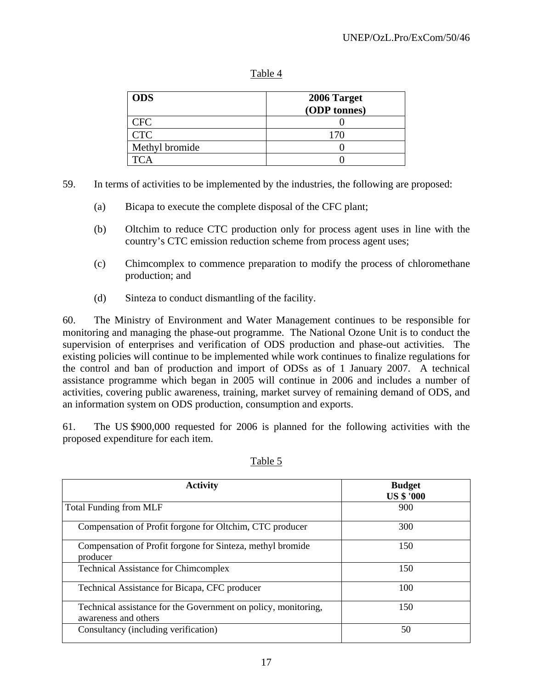#### Table 4

| <b>ODS</b>     | 2006 Target  |  |  |
|----------------|--------------|--|--|
|                | (ODP tonnes) |  |  |
| CFC            |              |  |  |
| <b>CTC</b>     | 170          |  |  |
| Methyl bromide |              |  |  |
|                |              |  |  |

- 59. In terms of activities to be implemented by the industries, the following are proposed:
	- (a) Bicapa to execute the complete disposal of the CFC plant;
	- (b) Oltchim to reduce CTC production only for process agent uses in line with the country's CTC emission reduction scheme from process agent uses;
	- (c) Chimcomplex to commence preparation to modify the process of chloromethane production; and
	- (d) Sinteza to conduct dismantling of the facility.

60. The Ministry of Environment and Water Management continues to be responsible for monitoring and managing the phase-out programme. The National Ozone Unit is to conduct the supervision of enterprises and verification of ODS production and phase-out activities. The existing policies will continue to be implemented while work continues to finalize regulations for the control and ban of production and import of ODSs as of 1 January 2007. A technical assistance programme which began in 2005 will continue in 2006 and includes a number of activities, covering public awareness, training, market survey of remaining demand of ODS, and an information system on ODS production, consumption and exports.

61. The US \$900,000 requested for 2006 is planned for the following activities with the proposed expenditure for each item.

| <b>Activity</b>                                                                        | <b>Budget</b><br><b>US \$ '000</b> |
|----------------------------------------------------------------------------------------|------------------------------------|
| <b>Total Funding from MLF</b>                                                          | 900                                |
| Compensation of Profit forgone for Oltchim, CTC producer                               | 300                                |
| Compensation of Profit forgone for Sinteza, methyl bromide<br>producer                 | 150                                |
| <b>Technical Assistance for Chimcomplex</b>                                            | 150                                |
| Technical Assistance for Bicapa, CFC producer                                          | 100                                |
| Technical assistance for the Government on policy, monitoring,<br>awareness and others | 150                                |
| Consultancy (including verification)                                                   | 50                                 |

#### Table 5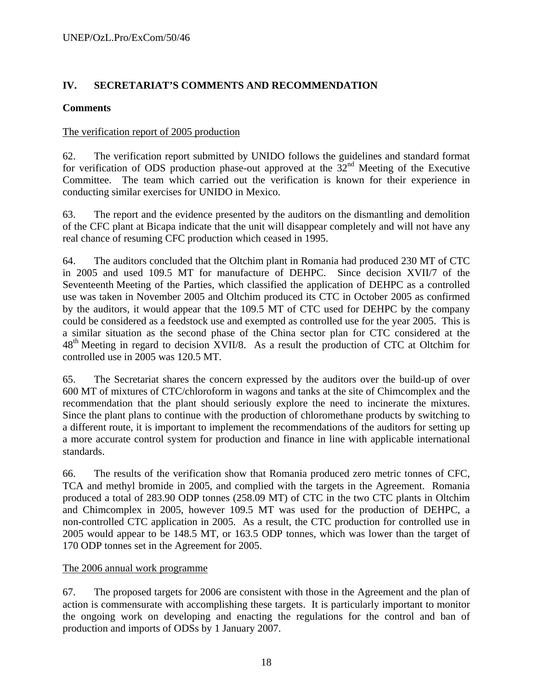## **IV. SECRETARIAT'S COMMENTS AND RECOMMENDATION**

#### **Comments**

#### The verification report of 2005 production

62. The verification report submitted by UNIDO follows the guidelines and standard format for verification of ODS production phase-out approved at the  $32<sup>nd</sup>$  Meeting of the Executive Committee. The team which carried out the verification is known for their experience in conducting similar exercises for UNIDO in Mexico.

63. The report and the evidence presented by the auditors on the dismantling and demolition of the CFC plant at Bicapa indicate that the unit will disappear completely and will not have any real chance of resuming CFC production which ceased in 1995.

64. The auditors concluded that the Oltchim plant in Romania had produced 230 MT of CTC in 2005 and used 109.5 MT for manufacture of DEHPC. Since decision XVII/7 of the Seventeenth Meeting of the Parties, which classified the application of DEHPC as a controlled use was taken in November 2005 and Oltchim produced its CTC in October 2005 as confirmed by the auditors, it would appear that the 109.5 MT of CTC used for DEHPC by the company could be considered as a feedstock use and exempted as controlled use for the year 2005. This is a similar situation as the second phase of the China sector plan for CTC considered at the 48<sup>th</sup> Meeting in regard to decision XVII/8. As a result the production of CTC at Oltchim for controlled use in 2005 was 120.5 MT.

65. The Secretariat shares the concern expressed by the auditors over the build-up of over 600 MT of mixtures of CTC/chloroform in wagons and tanks at the site of Chimcomplex and the recommendation that the plant should seriously explore the need to incinerate the mixtures. Since the plant plans to continue with the production of chloromethane products by switching to a different route, it is important to implement the recommendations of the auditors for setting up a more accurate control system for production and finance in line with applicable international standards.

66. The results of the verification show that Romania produced zero metric tonnes of CFC, TCA and methyl bromide in 2005, and complied with the targets in the Agreement. Romania produced a total of 283.90 ODP tonnes (258.09 MT) of CTC in the two CTC plants in Oltchim and Chimcomplex in 2005, however 109.5 MT was used for the production of DEHPC, a non-controlled CTC application in 2005. As a result, the CTC production for controlled use in 2005 would appear to be 148.5 MT, or 163.5 ODP tonnes, which was lower than the target of 170 ODP tonnes set in the Agreement for 2005.

#### The 2006 annual work programme

67. The proposed targets for 2006 are consistent with those in the Agreement and the plan of action is commensurate with accomplishing these targets. It is particularly important to monitor the ongoing work on developing and enacting the regulations for the control and ban of production and imports of ODSs by 1 January 2007.